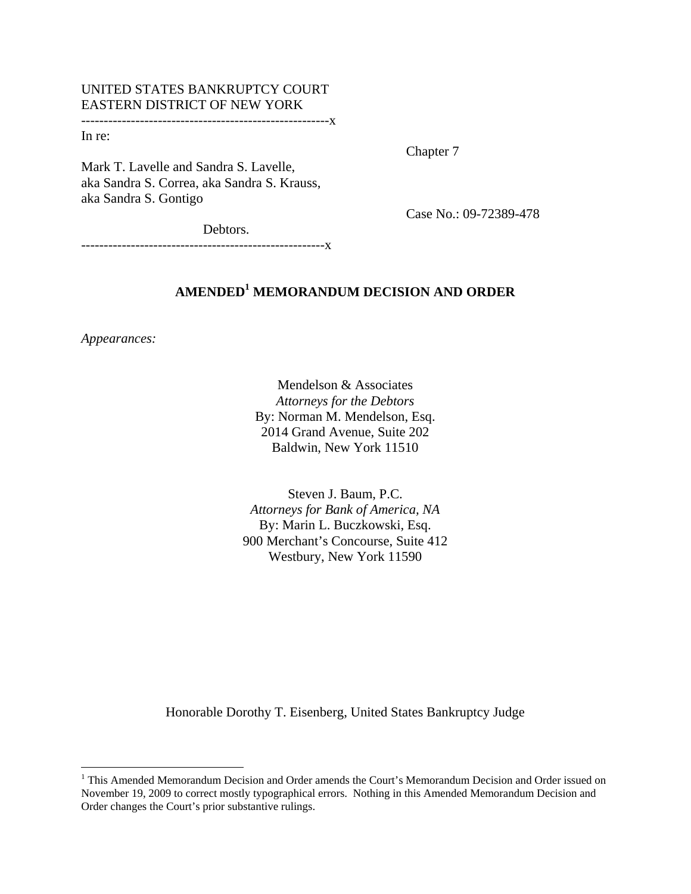## UNITED STATES BANKRUPTCY COURT EASTERN DISTRICT OF NEW YORK

-------------------------------------------------------x

In re:

Chapter 7

Mark T. Lavelle and Sandra S. Lavelle, aka Sandra S. Correa, aka Sandra S. Krauss, aka Sandra S. Gontigo

Case No.: 09-72389-478

Debtors.

------------------------------------------------------x

# **AMENDED1 MEMORANDUM DECISION AND ORDER**

*Appearances:*

 $\overline{a}$ 

Mendelson & Associates *Attorneys for the Debtors* By: Norman M. Mendelson, Esq. 2014 Grand Avenue, Suite 202 Baldwin, New York 11510

Steven J. Baum, P.C. *Attorneys for Bank of America, NA*  By: Marin L. Buczkowski, Esq. 900 Merchant's Concourse, Suite 412 Westbury, New York 11590

Honorable Dorothy T. Eisenberg, United States Bankruptcy Judge

<sup>&</sup>lt;sup>1</sup> This Amended Memorandum Decision and Order amends the Court's Memorandum Decision and Order issued on November 19, 2009 to correct mostly typographical errors. Nothing in this Amended Memorandum Decision and Order changes the Court's prior substantive rulings.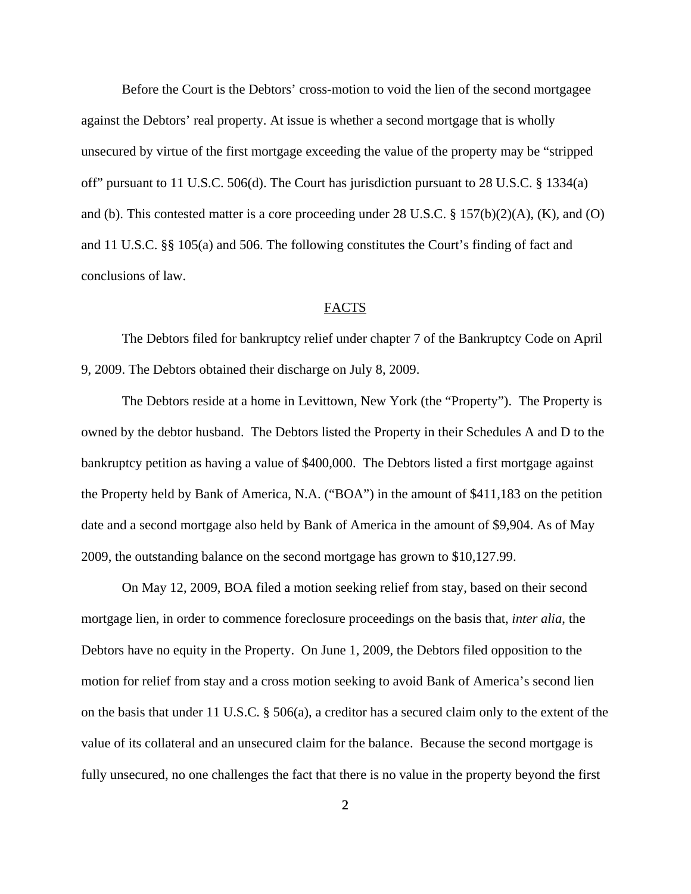Before the Court is the Debtors' cross-motion to void the lien of the second mortgagee against the Debtors' real property. At issue is whether a second mortgage that is wholly unsecured by virtue of the first mortgage exceeding the value of the property may be "stripped off" pursuant to 11 U.S.C. 506(d). The Court has jurisdiction pursuant to 28 U.S.C. § 1334(a) and (b). This contested matter is a core proceeding under 28 U.S.C. § 157(b)(2)(A), (K), and (O) and 11 U.S.C. §§ 105(a) and 506. The following constitutes the Court's finding of fact and conclusions of law.

#### FACTS

The Debtors filed for bankruptcy relief under chapter 7 of the Bankruptcy Code on April 9, 2009. The Debtors obtained their discharge on July 8, 2009.

The Debtors reside at a home in Levittown, New York (the "Property"). The Property is owned by the debtor husband. The Debtors listed the Property in their Schedules A and D to the bankruptcy petition as having a value of \$400,000. The Debtors listed a first mortgage against the Property held by Bank of America, N.A. ("BOA") in the amount of \$411,183 on the petition date and a second mortgage also held by Bank of America in the amount of \$9,904. As of May 2009, the outstanding balance on the second mortgage has grown to \$10,127.99.

On May 12, 2009, BOA filed a motion seeking relief from stay, based on their second mortgage lien, in order to commence foreclosure proceedings on the basis that, *inter alia*, the Debtors have no equity in the Property. On June 1, 2009, the Debtors filed opposition to the motion for relief from stay and a cross motion seeking to avoid Bank of America's second lien on the basis that under 11 U.S.C. § 506(a), a creditor has a secured claim only to the extent of the value of its collateral and an unsecured claim for the balance. Because the second mortgage is fully unsecured, no one challenges the fact that there is no value in the property beyond the first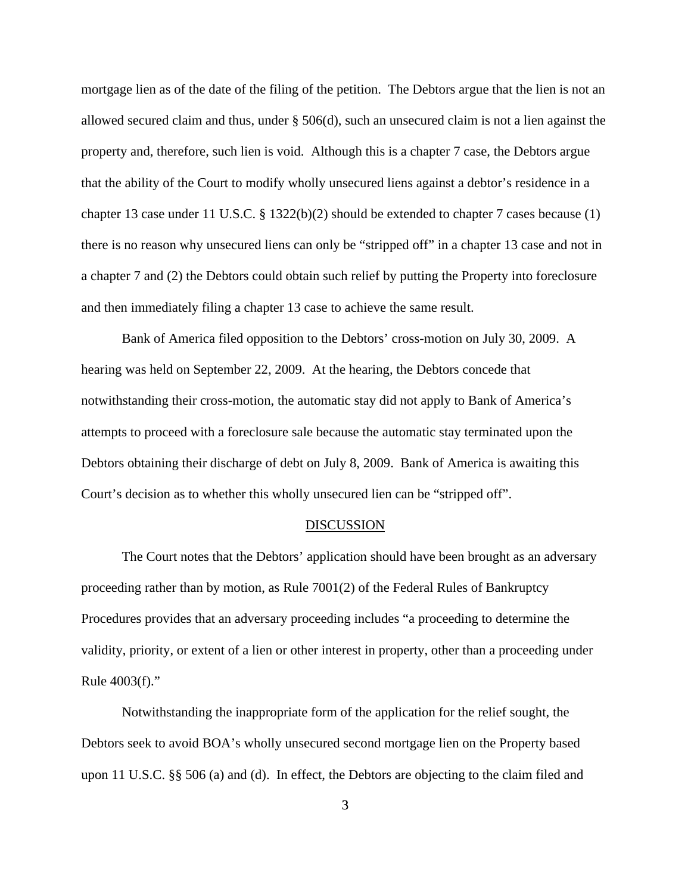mortgage lien as of the date of the filing of the petition. The Debtors argue that the lien is not an allowed secured claim and thus, under § 506(d), such an unsecured claim is not a lien against the property and, therefore, such lien is void. Although this is a chapter 7 case, the Debtors argue that the ability of the Court to modify wholly unsecured liens against a debtor's residence in a chapter 13 case under 11 U.S.C. § 1322(b)(2) should be extended to chapter 7 cases because (1) there is no reason why unsecured liens can only be "stripped off" in a chapter 13 case and not in a chapter 7 and (2) the Debtors could obtain such relief by putting the Property into foreclosure and then immediately filing a chapter 13 case to achieve the same result.

Bank of America filed opposition to the Debtors' cross-motion on July 30, 2009. A hearing was held on September 22, 2009. At the hearing, the Debtors concede that notwithstanding their cross-motion, the automatic stay did not apply to Bank of America's attempts to proceed with a foreclosure sale because the automatic stay terminated upon the Debtors obtaining their discharge of debt on July 8, 2009. Bank of America is awaiting this Court's decision as to whether this wholly unsecured lien can be "stripped off".

### **DISCUSSION**

The Court notes that the Debtors' application should have been brought as an adversary proceeding rather than by motion, as Rule 7001(2) of the Federal Rules of Bankruptcy Procedures provides that an adversary proceeding includes "a proceeding to determine the validity, priority, or extent of a lien or other interest in property, other than a proceeding under Rule 4003(f)."

Notwithstanding the inappropriate form of the application for the relief sought, the Debtors seek to avoid BOA's wholly unsecured second mortgage lien on the Property based upon 11 U.S.C. §§ 506 (a) and (d). In effect, the Debtors are objecting to the claim filed and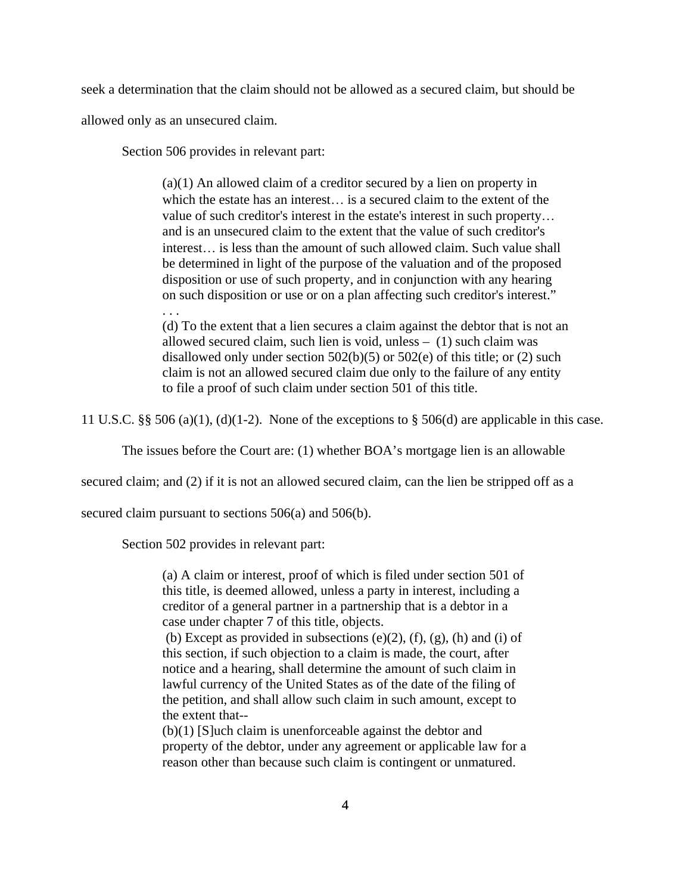seek a determination that the claim should not be allowed as a secured claim, but should be

allowed only as an unsecured claim.

. . .

Section 506 provides in relevant part:

(a)(1) An allowed claim of a creditor secured by a lien on property in which the estate has an interest... is a secured claim to the extent of the value of such creditor's interest in the estate's interest in such property and is an unsecured claim to the extent that the value of such creditor's interest is less than the amount of such allowed claim. Such value shall be determined in light of the purpose of the valuation and of the proposed disposition or use of such property, and in conjunction with any hearing on such disposition or use or on a plan affecting such creditor's interest."

(d) To the extent that a lien secures a claim against the debtor that is not an allowed secured claim, such lien is void, unless – (1) such claim was disallowed only under section 502(b)(5) or 502(e) of this title; or (2) such claim is not an allowed secured claim due only to the failure of any entity to file a proof of such claim under section 501 of this title.

11 U.S.C. §§ 506 (a)(1), (d)(1-2). None of the exceptions to § 506(d) are applicable in this case.

The issues before the Court are: (1) whether BOA's mortgage lien is an allowable

secured claim; and (2) if it is not an allowed secured claim, can the lien be stripped off as a

secured claim pursuant to sections 506(a) and 506(b).

Section 502 provides in relevant part:

(a) A claim or interest, proof of which is filed under section 501 of this title, is deemed allowed, unless a party in interest, including a creditor of a general partner in a partnership that is a debtor in a case under chapter 7 of this title, objects.

(b) Except as provided in subsections  $(e)(2)$ ,  $(f)$ ,  $(g)$ ,  $(h)$  and  $(i)$  of this section, if such objection to a claim is made, the court, after notice and a hearing, shall determine the amount of such claim in lawful currency of the United States as of the date of the filing of the petition, and shall allow such claim in such amount, except to the extent that--

(b)(1) [S]uch claim is unenforceable against the debtor and property of the debtor, under any agreement or applicable law for a reason other than because such claim is contingent or unmatured.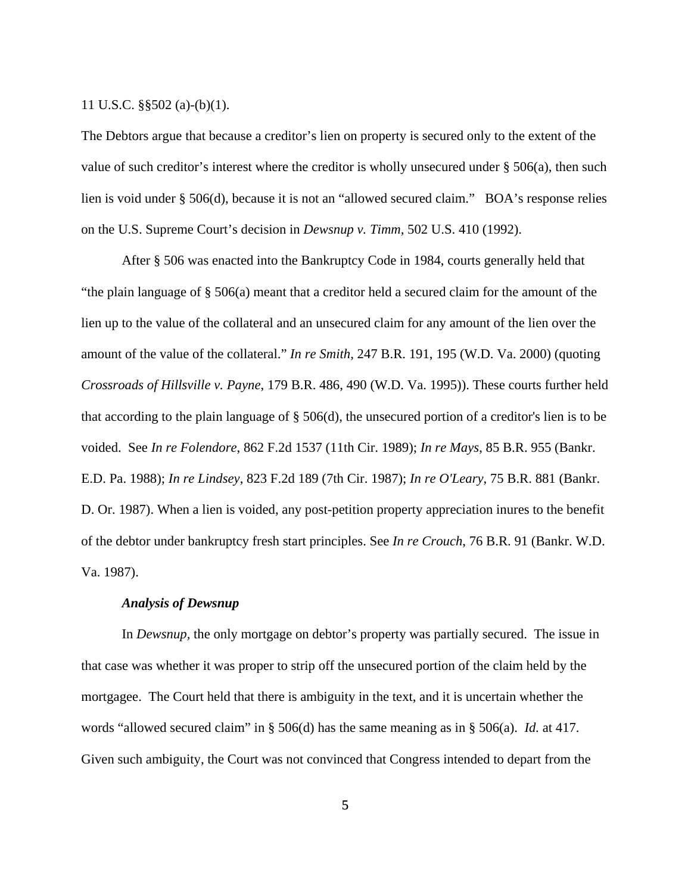#### 11 U.S.C. §§502 (a)-(b)(1).

The Debtors argue that because a creditor's lien on property is secured only to the extent of the value of such creditor's interest where the creditor is wholly unsecured under § 506(a), then such lien is void under § 506(d), because it is not an "allowed secured claim." BOA's response relies on the U.S. Supreme Court's decision in *Dewsnup v. Timm,* 502 U.S. 410 (1992).

 After § 506 was enacted into the Bankruptcy Code in 1984, courts generally held that "the plain language of § 506(a) meant that a creditor held a secured claim for the amount of the lien up to the value of the collateral and an unsecured claim for any amount of the lien over the amount of the value of the collateral." *In re Smith*, 247 B.R. 191, 195 (W.D. Va. 2000) (quoting *Crossroads of Hillsville v. Payne*, 179 B.R. 486, 490 (W.D. Va. 1995)). These courts further held that according to the plain language of § 506(d), the unsecured portion of a creditor's lien is to be voided. See *In re Folendore*, 862 F.2d 1537 (11th Cir. 1989); *In re Mays*, 85 B.R. 955 (Bankr. E.D. Pa. 1988); *In re Lindsey*, 823 F.2d 189 (7th Cir. 1987); *In re O'Leary*, 75 B.R. 881 (Bankr. D. Or. 1987). When a lien is voided, any post-petition property appreciation inures to the benefit of the debtor under bankruptcy fresh start principles. See *In re Crouch*, 76 B.R. 91 (Bankr. W.D. Va. 1987).

#### *Analysis of Dewsnup*

In *Dewsnup,* the only mortgage on debtor's property was partially secured. The issue in that case was whether it was proper to strip off the unsecured portion of the claim held by the mortgagee. The Court held that there is ambiguity in the text, and it is uncertain whether the words "allowed secured claim" in § 506(d) has the same meaning as in § 506(a). *Id.* at 417. Given such ambiguity, the Court was not convinced that Congress intended to depart from the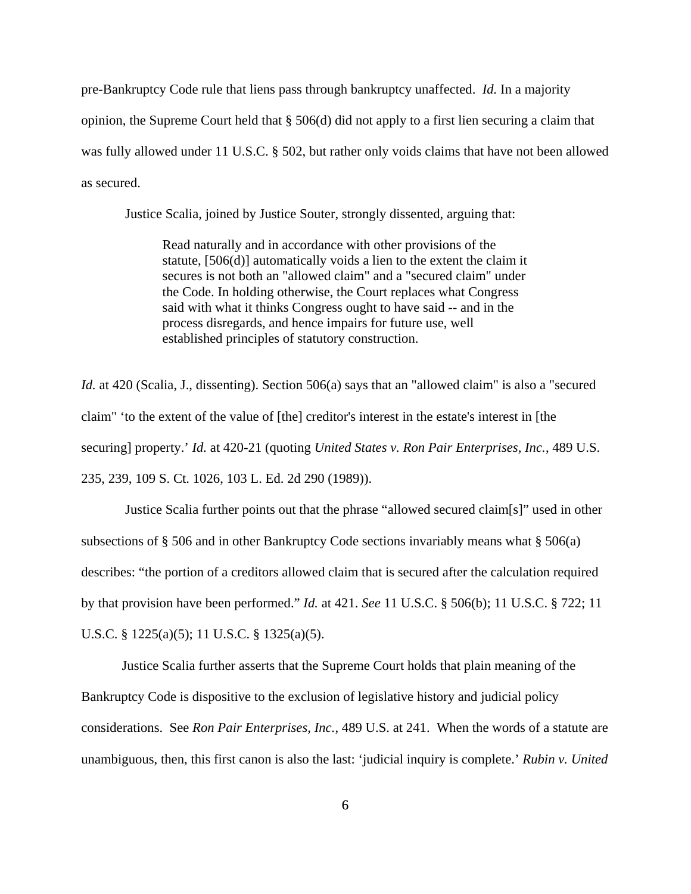pre-Bankruptcy Code rule that liens pass through bankruptcy unaffected. *Id.* In a majority opinion, the Supreme Court held that § 506(d) did not apply to a first lien securing a claim that was fully allowed under 11 U.S.C. § 502, but rather only voids claims that have not been allowed as secured.

Justice Scalia, joined by Justice Souter, strongly dissented, arguing that:

Read naturally and in accordance with other provisions of the statute, [506(d)] automatically voids a lien to the extent the claim it secures is not both an "allowed claim" and a "secured claim" under the Code. In holding otherwise, the Court replaces what Congress said with what it thinks Congress ought to have said -- and in the process disregards, and hence impairs for future use, well established principles of statutory construction.

*Id.* at 420 (Scalia, J., dissenting). Section 506(a) says that an "allowed claim" is also a "secured claim" 'to the extent of the value of [the] creditor's interest in the estate's interest in [the securing] property.' *Id.* at 420-21 (quoting *United States v. Ron Pair Enterprises, Inc.*, 489 U.S. 235, 239, 109 S. Ct. 1026, 103 L. Ed. 2d 290 (1989)).

Justice Scalia further points out that the phrase "allowed secured claim[s]" used in other subsections of § 506 and in other Bankruptcy Code sections invariably means what § 506(a) describes: "the portion of a creditors allowed claim that is secured after the calculation required by that provision have been performed." *Id.* at 421. *See* 11 U.S.C. § 506(b); 11 U.S.C. § 722; 11 U.S.C. § 1225(a)(5); 11 U.S.C. § 1325(a)(5).

Justice Scalia further asserts that the Supreme Court holds that plain meaning of the Bankruptcy Code is dispositive to the exclusion of legislative history and judicial policy considerations. See *Ron Pair Enterprises, Inc.*, 489 U.S. at 241. When the words of a statute are unambiguous, then, this first canon is also the last: 'judicial inquiry is complete.' *Rubin v. United*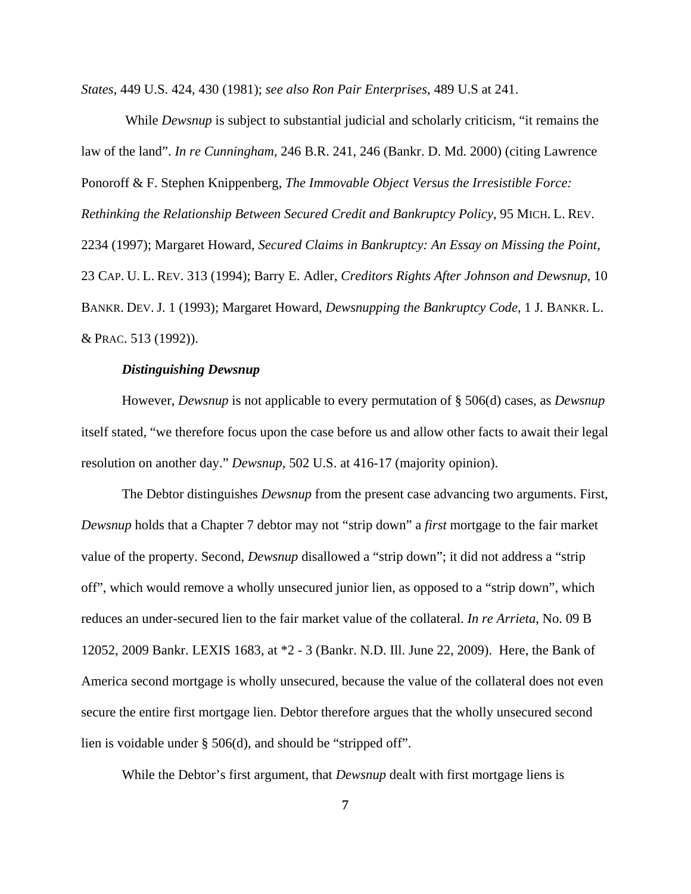*States*, 449 U.S. 424, 430 (1981); *see also Ron Pair Enterprises,* 489 U.S at 241.

 While *Dewsnup* is subject to substantial judicial and scholarly criticism, "it remains the law of the land". *In re Cunningham*, 246 B.R. 241, 246 (Bankr. D. Md. 2000) (citing Lawrence Ponoroff & F. Stephen Knippenberg, *The Immovable Object Versus the Irresistible Force: Rethinking the Relationship Between Secured Credit and Bankruptcy Policy*, 95 MICH. L. REV. 2234 (1997); Margaret Howard, *Secured Claims in Bankruptcy: An Essay on Missing the Point*, 23 CAP. U. L. REV. 313 (1994); Barry E. Adler, *Creditors Rights After Johnson and Dewsnup*, 10 BANKR. DEV. J. 1 (1993); Margaret Howard, *Dewsnupping the Bankruptcy Code*, 1 J. BANKR. L. & PRAC. 513 (1992)).

#### *Distinguishing Dewsnup*

However, *Dewsnup* is not applicable to every permutation of § 506(d) cases, as *Dewsnup* itself stated, "we therefore focus upon the case before us and allow other facts to await their legal resolution on another day." *Dewsnup*, 502 U.S. at 416-17 (majority opinion).

The Debtor distinguishes *Dewsnup* from the present case advancing two arguments. First, *Dewsnup* holds that a Chapter 7 debtor may not "strip down" a *first* mortgage to the fair market value of the property. Second, *Dewsnup* disallowed a "strip down"; it did not address a "strip off", which would remove a wholly unsecured junior lien, as opposed to a "strip down", which reduces an under-secured lien to the fair market value of the collateral. *In re Arrieta*, No. 09 B 12052, 2009 Bankr. LEXIS 1683, at \*2 - 3 (Bankr. N.D. Ill. June 22, 2009). Here, the Bank of America second mortgage is wholly unsecured, because the value of the collateral does not even secure the entire first mortgage lien. Debtor therefore argues that the wholly unsecured second lien is voidable under § 506(d), and should be "stripped off".

While the Debtor's first argument, that *Dewsnup* dealt with first mortgage liens is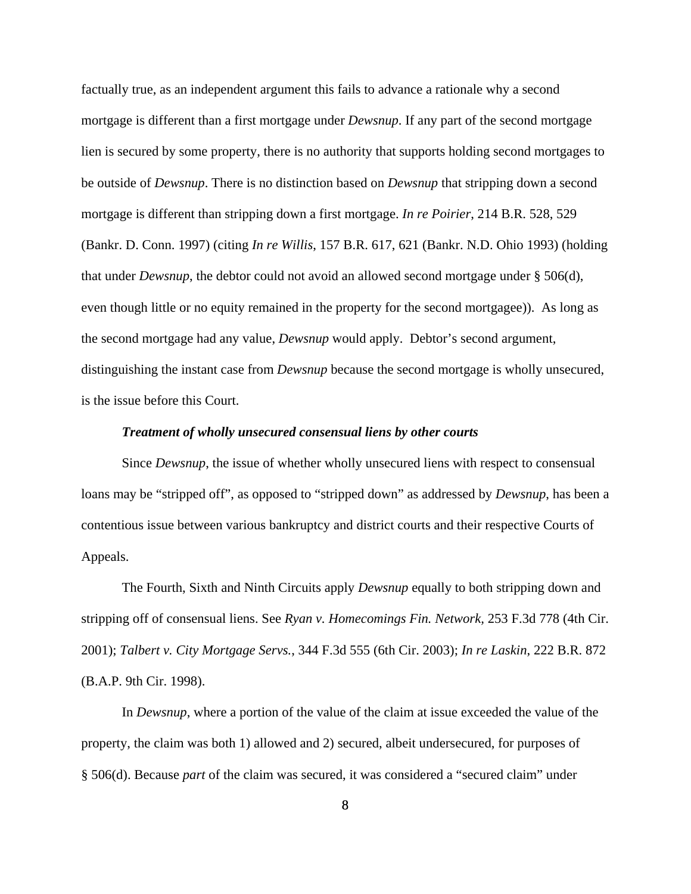factually true, as an independent argument this fails to advance a rationale why a second mortgage is different than a first mortgage under *Dewsnup*. If any part of the second mortgage lien is secured by some property, there is no authority that supports holding second mortgages to be outside of *Dewsnup*. There is no distinction based on *Dewsnup* that stripping down a second mortgage is different than stripping down a first mortgage. *In re Poirier*, 214 B.R. 528, 529 (Bankr. D. Conn. 1997) (citing *In re Willis*, 157 B.R. 617, 621 (Bankr. N.D. Ohio 1993) (holding that under *Dewsnup*, the debtor could not avoid an allowed second mortgage under § 506(d), even though little or no equity remained in the property for the second mortgagee)). As long as the second mortgage had any value, *Dewsnup* would apply. Debtor's second argument, distinguishing the instant case from *Dewsnup* because the second mortgage is wholly unsecured, is the issue before this Court.

#### *Treatment of wholly unsecured consensual liens by other courts*

Since *Dewsnup*, the issue of whether wholly unsecured liens with respect to consensual loans may be "stripped off", as opposed to "stripped down" as addressed by *Dewsnup*, has been a contentious issue between various bankruptcy and district courts and their respective Courts of Appeals.

The Fourth, Sixth and Ninth Circuits apply *Dewsnup* equally to both stripping down and stripping off of consensual liens. See *Ryan v. Homecomings Fin. Network,* 253 F.3d 778 (4th Cir. 2001); *Talbert v. City Mortgage Servs.*, 344 F.3d 555 (6th Cir. 2003); *In re Laskin*, 222 B.R. 872 (B.A.P. 9th Cir. 1998).

In *Dewsnup*, where a portion of the value of the claim at issue exceeded the value of the property, the claim was both 1) allowed and 2) secured, albeit undersecured, for purposes of § 506(d). Because *part* of the claim was secured, it was considered a "secured claim" under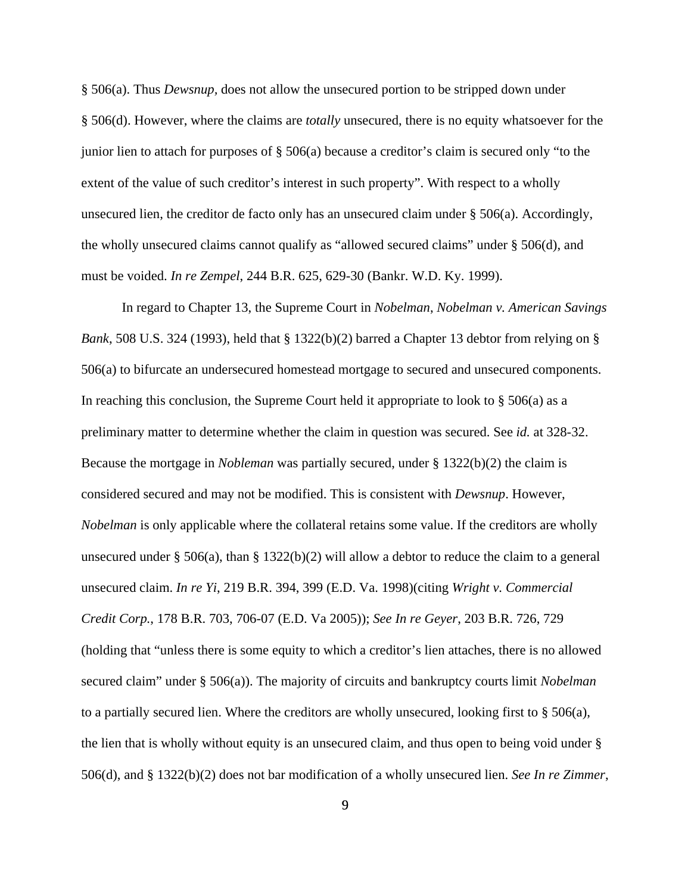§ 506(a). Thus *Dewsnup,* does not allow the unsecured portion to be stripped down under § 506(d). However, where the claims are *totally* unsecured, there is no equity whatsoever for the junior lien to attach for purposes of § 506(a) because a creditor's claim is secured only "to the extent of the value of such creditor's interest in such property". With respect to a wholly unsecured lien, the creditor de facto only has an unsecured claim under  $\S$  506(a). Accordingly, the wholly unsecured claims cannot qualify as "allowed secured claims" under § 506(d), and must be voided. *In re Zempel*, 244 B.R. 625, 629-30 (Bankr. W.D. Ky. 1999).

In regard to Chapter 13, the Supreme Court in *Nobelman*, *Nobelman v. American Savings Bank*, 508 U.S. 324 (1993), held that § 1322(b)(2) barred a Chapter 13 debtor from relying on § 506(a) to bifurcate an undersecured homestead mortgage to secured and unsecured components. In reaching this conclusion, the Supreme Court held it appropriate to look to § 506(a) as a preliminary matter to determine whether the claim in question was secured. See *id.* at 328-32. Because the mortgage in *Nobleman* was partially secured, under § 1322(b)(2) the claim is considered secured and may not be modified. This is consistent with *Dewsnup*. However, *Nobelman* is only applicable where the collateral retains some value. If the creditors are wholly unsecured under § 506(a), than § 1322(b)(2) will allow a debtor to reduce the claim to a general unsecured claim. *In re Yi*, 219 B.R. 394, 399 (E.D. Va. 1998)(citing *Wright v. Commercial Credit Corp.*, 178 B.R. 703, 706-07 (E.D. Va 2005)); *See In re Geyer*, 203 B.R. 726, 729 (holding that "unless there is some equity to which a creditor's lien attaches, there is no allowed secured claim" under § 506(a)). The majority of circuits and bankruptcy courts limit *Nobelman* to a partially secured lien. Where the creditors are wholly unsecured, looking first to  $\S$  506(a), the lien that is wholly without equity is an unsecured claim, and thus open to being void under § 506(d), and § 1322(b)(2) does not bar modification of a wholly unsecured lien. *See In re Zimmer*,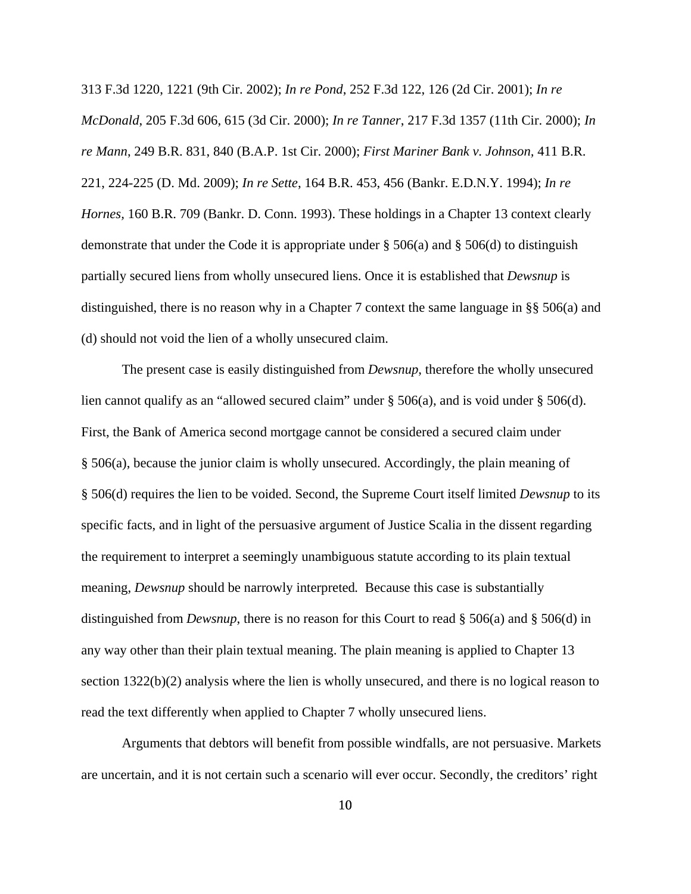313 F.3d 1220, 1221 (9th Cir. 2002); *In re Pond*, 252 F.3d 122, 126 (2d Cir. 2001); *In re McDonald*, 205 F.3d 606, 615 (3d Cir. 2000); *In re Tanner*, 217 F.3d 1357 (11th Cir. 2000); *In re Mann*, 249 B.R. 831, 840 (B.A.P. 1st Cir. 2000); *First Mariner Bank v. Johnson,* 411 B.R. 221, 224-225 (D. Md. 2009); *In re Sette*, 164 B.R. 453, 456 (Bankr. E.D.N.Y. 1994); *In re Hornes,* 160 B.R. 709 (Bankr. D. Conn. 1993). These holdings in a Chapter 13 context clearly demonstrate that under the Code it is appropriate under § 506(a) and § 506(d) to distinguish partially secured liens from wholly unsecured liens. Once it is established that *Dewsnup* is distinguished, there is no reason why in a Chapter 7 context the same language in §§ 506(a) and (d) should not void the lien of a wholly unsecured claim.

The present case is easily distinguished from *Dewsnup*, therefore the wholly unsecured lien cannot qualify as an "allowed secured claim" under § 506(a), and is void under § 506(d). First, the Bank of America second mortgage cannot be considered a secured claim under § 506(a), because the junior claim is wholly unsecured. Accordingly, the plain meaning of § 506(d) requires the lien to be voided. Second, the Supreme Court itself limited *Dewsnup* to its specific facts, and in light of the persuasive argument of Justice Scalia in the dissent regarding the requirement to interpret a seemingly unambiguous statute according to its plain textual meaning, *Dewsnup* should be narrowly interpreted*.* Because this case is substantially distinguished from *Dewsnup*, there is no reason for this Court to read § 506(a) and § 506(d) in any way other than their plain textual meaning. The plain meaning is applied to Chapter 13 section 1322(b)(2) analysis where the lien is wholly unsecured, and there is no logical reason to read the text differently when applied to Chapter 7 wholly unsecured liens.

Arguments that debtors will benefit from possible windfalls, are not persuasive. Markets are uncertain, and it is not certain such a scenario will ever occur. Secondly, the creditors' right